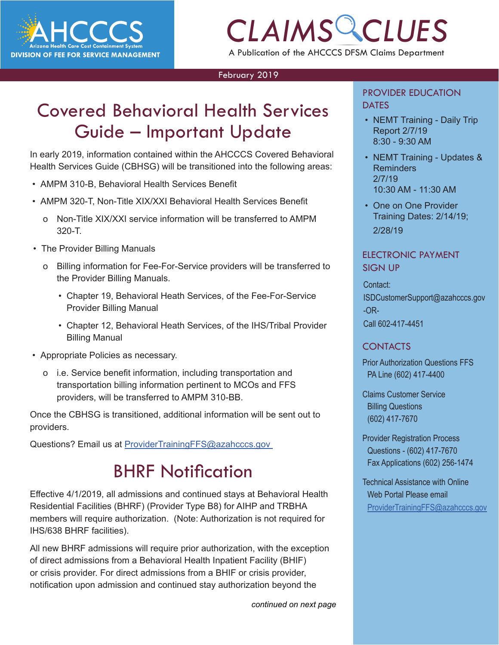

## *CLAIMS CLUES* A Publication of the AHCCCS DFSM Claims Department

#### February 2019

### Covered Behavioral Health Services Guide – Important Update

In early 2019, information contained within the AHCCCS Covered Behavioral Health Services Guide (CBHSG) will be transitioned into the following areas:

- AMPM 310-B, Behavioral Health Services Benefit
- AMPM 320-T, Non-Title XIX/XXI Behavioral Health Services Benefit
	- o Non-Title XIX/XXI service information will be transferred to AMPM 320-T.
- The Provider Billing Manuals
	- o Billing information for Fee-For-Service providers will be transferred to the Provider Billing Manuals.
		- Chapter 19, Behavioral Heath Services, of the Fee-For-Service Provider Billing Manual
		- Chapter 12, Behavioral Heath Services, of the IHS/Tribal Provider Billing Manual
- Appropriate Policies as necessary.
	- o i.e. Service benefit information, including transportation and transportation billing information pertinent to MCOs and FFS providers, will be transferred to AMPM 310-BB.

Once the CBHSG is transitioned, additional information will be sent out to providers.

Questions? Email us at ProviderTrainingFFS@azahcccs.gov

### BHRF Notification

Effective 4/1/2019, all admissions and continued stays at Behavioral Health Residential Facilities (BHRF) (Provider Type B8) for AIHP and TRBHA members will require authorization. (Note: Authorization is not required for IHS/638 BHRF facilities).

All new BHRF admissions will require prior authorization, with the exception of direct admissions from a Behavioral Health Inpatient Facility (BHIF) or crisis provider. For direct admissions from a BHIF or crisis provider, notification upon admission and continued stay authorization beyond the

*continued on next page*

#### PROVIDER EDUCATION **DATES**

- **TVICES**<br> **CLAIMS** CREMT Training Daily Trip<br>
Report 2/7/19 • NEMT Training - Daily Trip Report 2/7/19 8:30 - 9:30 AM
	- NEMT Training Updates & Reminders 2/7/19 10:30 AM - 11:30 AM
	- One on One Provider Training Dates: 2/14/19; 2/28/19

#### ELECTRONIC PAYMENT SIGN UP

Contact: ISDCustomerSupport@azahcccs.gov -OR-Call 602-417-4451

#### CONTACTS

Prior Authorization Questions FFS PA Line (602) 417-4400

Claims Customer Service Billing Questions (602) 417-7670

Provider Registration Process Questions - (602) 417-7670 Fax Applications (602) 256-1474

Technical Assistance with Online Web Portal Please email [ProviderTrainingFFS@azahcccs.gov](mailto:ProviderTrainingFFS%40azahcccs.gov%20?subject=)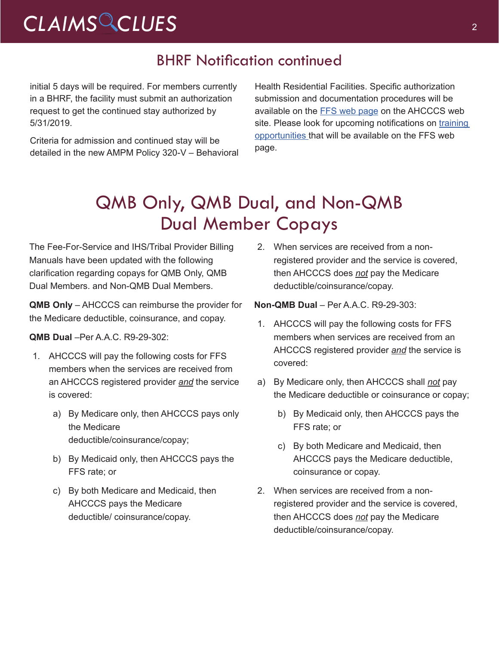## *CLAIMS CLUES* <sup>2</sup>

### BHRF Notification continued

initial 5 days will be required. For members currently in a BHRF, the facility must submit an authorization request to get the continued stay authorized by 5/31/2019.

Criteria for admission and continued stay will be detailed in the new AMPM Policy 320-V – Behavioral Health Residential Facilities. Specific authorization submission and documentation procedures will be available on the [FFS web page](https://www.azahcccs.gov/AmericanIndians/HealthPlans/FeeForService/healthplans.html) on the AHCCCS web site. Please look for upcoming notifications on training [opportunities t](https://www.azahcccs.gov/Resources/Training/DFSM_Training.html)hat will be available on the FFS web page.

### QMB Only, QMB Dual, and Non-QMB Dual Member Copays

The Fee-For-Service and IHS/Tribal Provider Billing Manuals have been updated with the following clarification regarding copays for QMB Only, QMB Dual Members. and Non-QMB Dual Members.

**QMB Only** – AHCCCS can reimburse the provider for the Medicare deductible, coinsurance, and copay.

**QMB Dual** –Per A.A.C. R9-29-302:

- 1. AHCCCS will pay the following costs for FFS members when the services are received from an AHCCCS registered provider *and* the service is covered:
	- a) By Medicare only, then AHCCCS pays only the Medicare deductible/coinsurance/copay;
	- b) By Medicaid only, then AHCCCS pays the FFS rate; or
	- c) By both Medicare and Medicaid, then AHCCCS pays the Medicare deductible/ coinsurance/copay.

2. When services are received from a nonregistered provider and the service is covered, then AHCCCS does *not* pay the Medicare deductible/coinsurance/copay.

**Non-QMB Dual** – Per A.A.C. R9-29-303:

- 1. AHCCCS will pay the following costs for FFS members when services are received from an AHCCCS registered provider *and* the service is covered:
- a) By Medicare only, then AHCCCS shall *not* pay the Medicare deductible or coinsurance or copay;
	- b) By Medicaid only, then AHCCCS pays the FFS rate; or
	- c) By both Medicare and Medicaid, then AHCCCS pays the Medicare deductible, coinsurance or copay.
- 2. When services are received from a nonregistered provider and the service is covered, then AHCCCS does *not* pay the Medicare deductible/coinsurance/copay.